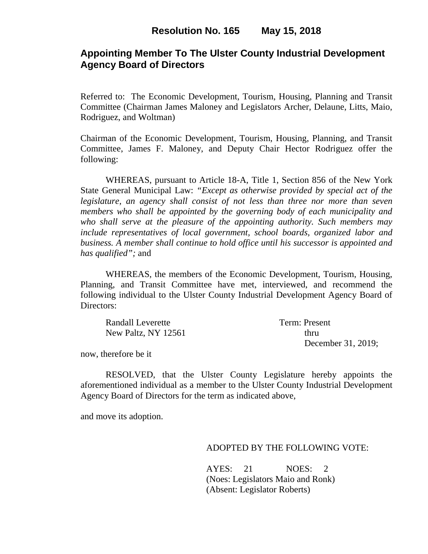## **Appointing Member To The Ulster County Industrial Development Agency Board of Directors**

Referred to: The Economic Development, Tourism, Housing, Planning and Transit Committee (Chairman James Maloney and Legislators Archer, Delaune, Litts, Maio, Rodriguez, and Woltman)

Chairman of the Economic Development, Tourism, Housing, Planning, and Transit Committee, James F. Maloney, and Deputy Chair Hector Rodriguez offer the following:

WHEREAS, pursuant to Article 18-A, Title 1, Section 856 of the New York State General Municipal Law: *"Except as otherwise provided by special act of the legislature, an agency shall consist of not less than three nor more than seven members who shall be appointed by the governing body of each municipality and who shall serve at the pleasure of the appointing authority. Such members may include representatives of local government, school boards, organized labor and business. A member shall continue to hold office until his successor is appointed and has qualified";* and

WHEREAS, the members of the Economic Development, Tourism, Housing, Planning, and Transit Committee have met, interviewed, and recommend the following individual to the Ulster County Industrial Development Agency Board of Directors:

| Randall Leverette   | Term: Present      |
|---------------------|--------------------|
| New Paltz, NY 12561 | thru               |
|                     | December 31, 2019; |

now, therefore be it

RESOLVED, that the Ulster County Legislature hereby appoints the aforementioned individual as a member to the Ulster County Industrial Development Agency Board of Directors for the term as indicated above,

and move its adoption.

#### ADOPTED BY THE FOLLOWING VOTE:

AYES: 21 NOES: 2 (Noes: Legislators Maio and Ronk) (Absent: Legislator Roberts)